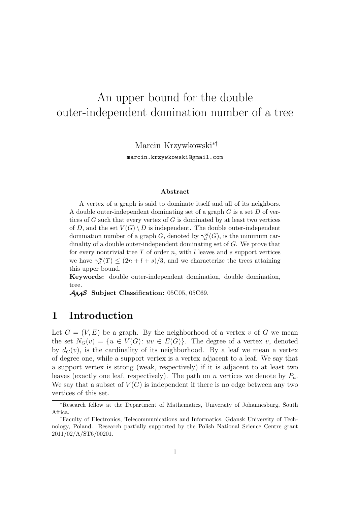# An upper bound for the double outer-independent domination number of a tree

Marcin Krzywkowski∗†

marcin.krzywkowski@gmail.com

#### **Abstract**

A vertex of a graph is said to dominate itself and all of its neighbors. A double outer-independent dominating set of a graph  $G$  is a set  $D$  of vertices of G such that every vertex of G is dominated by at least two vertices of D, and the set  $V(G) \setminus D$  is independent. The double outer-independent domination number of a graph G, denoted by  $\gamma_d^{oi}(G)$ , is the minimum cardinality of a double outer-independent dominating set of G. We prove that for every nontrivial tree  $T$  of order  $n$ , with  $l$  leaves and  $s$  support vertices we have  $\gamma_d^{oi}(T) \leq (2n+l+s)/3$ , and we characterize the trees attaining this upper bound.

**Keywords:** double outer-independent domination, double domination, tree.

AMS **Subject Classification:** 05C05, 05C69.

### **1 Introduction**

Let  $G = (V, E)$  be a graph. By the neighborhood of a vertex v of G we mean the set  $N_G(v) = \{u \in V(G): uv \in E(G)\}.$  The degree of a vertex v, denoted by  $d_G(v)$ , is the cardinality of its neighborhood. By a leaf we mean a vertex of degree one, while a support vertex is a vertex adjacent to a leaf. We say that a support vertex is strong (weak, respectively) if it is adjacent to at least two leaves (exactly one leaf, respectively). The path on n vertices we denote by  $P_n$ . We say that a subset of  $V(G)$  is independent if there is no edge between any two vertices of this set.

<sup>∗</sup>Research fellow at the Department of Mathematics, University of Johannesburg, South Africa.

<sup>†</sup>Faculty of Electronics, Telecommunications and Informatics, Gdansk University of Technology, Poland. Research partially supported by the Polish National Science Centre grant 2011/02/A/ST6/00201.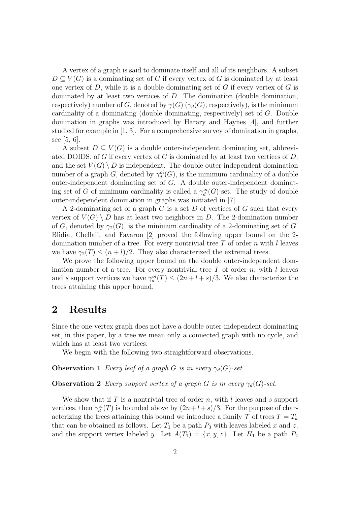A vertex of a graph is said to dominate itself and all of its neighbors. A subset  $D \subseteq V(G)$  is a dominating set of G if every vertex of G is dominated by at least one vertex of  $D$ , while it is a double dominating set of  $G$  if every vertex of  $G$  is dominated by at least two vertices of D. The domination (double domination, respectively) number of G, denoted by  $\gamma(G)$  ( $\gamma_d(G)$ , respectively), is the minimum cardinality of a dominating (double dominating, respectively) set of G. Double domination in graphs was introduced by Harary and Haynes [4], and further studied for example in [1, 3]. For a comprehensive survey of domination in graphs, see [5, 6].

A subset  $D \subseteq V(G)$  is a double outer-independent dominating set, abbreviated DOIDS, of G if every vertex of G is dominated by at least two vertices of  $D$ , and the set  $V(G) \setminus D$  is independent. The double outer-independent domination number of a graph G, denoted by  $\gamma_d^{oi}(G)$ , is the minimum cardinality of a double outer-independent dominating set of G. A double outer-independent dominating set of G of minimum cardinality is called a  $\gamma_d^{oi}(G)$ -set. The study of double outer-independent domination in graphs was initiated in [7].

A 2-dominating set of a graph  $G$  is a set  $D$  of vertices of  $G$  such that every vertex of  $V(G) \setminus D$  has at least two neighbors in D. The 2-domination number of G, denoted by  $\gamma_2(G)$ , is the minimum cardinality of a 2-dominating set of G. Blidia, Chellali, and Favaron [2] proved the following upper bound on the 2 domination number of a tree. For every nontrivial tree  $T$  of order  $n$  with  $l$  leaves we have  $\gamma_2(T) \leq (n+l)/2$ . They also characterized the extremal trees.

We prove the following upper bound on the double outer-independent domination number of a tree. For every nontrivial tree  $T$  of order  $n$ , with  $l$  leaves and s support vertices we have  $\gamma_d^{oi}(T) \leq (2n + l + s)/3$ . We also characterize the trees attaining this upper bound.

### **2 Results**

Since the one-vertex graph does not have a double outer-independent dominating set, in this paper, by a tree we mean only a connected graph with no cycle, and which has at least two vertices.

We begin with the following two straightforward observations.

**Observation 1** *Every leaf of a graph* G *is in every*  $\gamma_d(G)$ -set.

**Observation 2** *Every support vertex of a graph* G *is in every*  $\gamma_d(G)$ -set.

We show that if  $T$  is a nontrivial tree of order  $n$ , with  $l$  leaves and  $s$  support vertices, then  $\gamma_d^{oi}(T)$  is bounded above by  $(2n+l+s)/3$ . For the purpose of characterizing the trees attaining this bound we introduce a family  $\mathcal T$  of trees  $T = T_k$ that can be obtained as follows. Let  $T_1$  be a path  $P_3$  with leaves labeled x and z, and the support vertex labeled y. Let  $A(T_1) = \{x, y, z\}$ . Let  $H_1$  be a path  $P_2$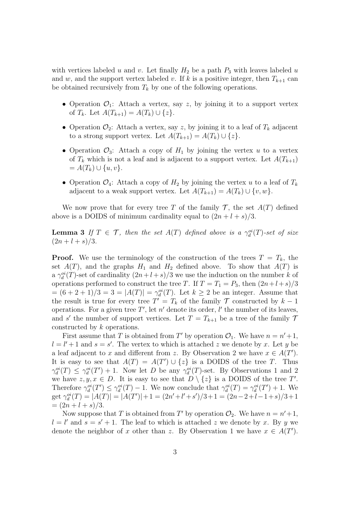with vertices labeled u and v. Let finally  $H_2$  be a path  $P_3$  with leaves labeled u and w, and the support vertex labeled v. If k is a positive integer, then  $T_{k+1}$  can be obtained recursively from  $T_k$  by one of the following operations.

- Operation  $\mathcal{O}_1$ : Attach a vertex, say z, by joining it to a support vertex of  $T_k$ . Let  $A(T_{k+1}) = A(T_k) \cup \{z\}.$
- Operation  $\mathcal{O}_2$ : Attach a vertex, say z, by joining it to a leaf of  $T_k$  adjacent to a strong support vertex. Let  $A(T_{k+1}) = A(T_k) \cup \{z\}.$
- Operation  $\mathcal{O}_3$ : Attach a copy of  $H_1$  by joining the vertex u to a vertex of  $T_k$  which is not a leaf and is adjacent to a support vertex. Let  $A(T_{k+1})$  $= A(T_k) \cup \{u, v\}.$
- Operation  $\mathcal{O}_4$ : Attach a copy of  $H_2$  by joining the vertex u to a leaf of  $T_k$ adjacent to a weak support vertex. Let  $A(T_{k+1}) = A(T_k) \cup \{v, w\}.$

We now prove that for every tree T of the family  $\mathcal{T}$ , the set  $A(T)$  defined above is a DOIDS of minimum cardinality equal to  $(2n + l + s)/3$ .

**Lemma 3** *If*  $T \in \mathcal{T}$ *, then the set*  $A(T)$  *defined above is a*  $\gamma_d^{oi}(T)$ *-set of size*  $(2n+l+s)/3.$ 

**Proof.** We use the terminology of the construction of the trees  $T = T_k$ , the set  $A(T)$ , and the graphs  $H_1$  and  $H_2$  defined above. To show that  $A(T)$  is a  $\gamma_d^{oi}(T)$ -set of cardinality  $(2n+l+s)/3$  we use the induction on the number k of operations performed to construct the tree T. If  $T = T_1 = P_3$ , then  $(2n+l+s)/3$  $= (6 + 2 + 1)/3 = 3 = |A(T)| = \gamma_d^{oi}(T)$ . Let  $k \ge 2$  be an integer. Assume that the result is true for every tree  $T' = T_k$  of the family  $T$  constructed by  $k-1$ operations. For a given tree T', let n' denote its order, l' the number of its leaves, and s' the number of support vertices. Let  $T = T_{k+1}$  be a tree of the family 7 constructed by k operations.

First assume that T is obtained from T' by operation  $\mathcal{O}_1$ . We have  $n = n' + 1$ ,  $l = l' + 1$  and  $s = s'$ . The vertex to which is attached z we denote by x. Let y be a leaf adjacent to x and different from z. By Observation 2 we have  $x \in A(T')$ . It is easy to see that  $A(T) = A(T') \cup \{z\}$  is a DOIDS of the tree T. Thus  $\gamma_d^{oi}(T) \leq \gamma_d^{oi}(T') + 1$ . Now let D be any  $\gamma_d^{oi}(T)$ -set. By Observations 1 and 2 we have  $z, y, x \in D$ . It is easy to see that  $D \setminus \{z\}$  is a DOIDS of the tree T'. Therefore  $\gamma_d^{oi}(T') \leq \gamma_d^{oi}(T) - 1$ . We now conclude that  $\gamma_d^{oi}(T) = \gamma_d^{oi}(T') + 1$ . We get  $\gamma_d^{oi}(T) = |A(T)| = |A(T')| + 1 = (2n' + l' + s')/3 + 1 = (2n - 2 + l - 1 + s)/3 + 1$  $=(2n+l+s)/3.$ 

Now suppose that T is obtained from T' by operation  $\mathcal{O}_2$ . We have  $n = n' + 1$ ,  $l = l'$  and  $s = s' + 1$ . The leaf to which is attached z we denote by x. By y we denote the neighbor of x other than z. By Observation 1 we have  $x \in A(T')$ .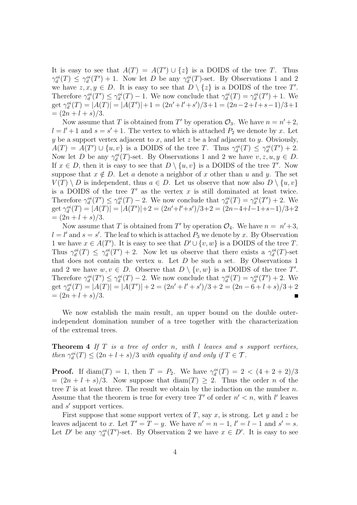It is easy to see that  $A(T) = A(T') \cup \{z\}$  is a DOIDS of the tree T. Thus  $\gamma_d^{oi}(T) \leq \gamma_d^{oi}(T') + 1$ . Now let D be any  $\gamma_d^{oi}(T)$ -set. By Observations 1 and 2 we have  $z, x, y \in D$ . It is easy to see that  $D \setminus \{z\}$  is a DOIDS of the tree T'. Therefore  $\gamma_d^{oi}(T') \leq \gamma_d^{oi}(T) - 1$ . We now conclude that  $\gamma_d^{oi}(T) = \gamma_d^{oi}(T') + 1$ . We get  $\gamma_d^{oi}(T) = |A(T)| = |A(T')| + 1 = (2n' + l' + s')/3 + 1 = (2n - 2 + l + s - 1)/3 + 1$  $=(2n+l+s)/3.$ 

Now assume that T is obtained from T' by operation  $\mathcal{O}_3$ . We have  $n = n' + 2$ ,  $l = l' + 1$  and  $s = s' + 1$ . The vertex to which is attached  $P_2$  we denote by x. Let y be a support vertex adjacent to x, and let z be a leaf adjacent to y. Obviously,  $A(T) = A(T') \cup \{u, v\}$  is a DOIDS of the tree T. Thus  $\gamma_d^{oi}(T) \leq \gamma_d^{oi}(T') + 2$ . Now let D be any  $\gamma_d^{oi}(T)$ -set. By Observations 1 and 2 we have  $v, z, u, y \in D$ . If  $x \in D$ , then it is easy to see that  $D \setminus \{u, v\}$  is a DOIDS of the tree T'. Now suppose that  $x \notin D$ . Let a denote a neighbor of x other than u and y. The set  $V(T) \setminus D$  is independent, thus  $a \in D$ . Let us observe that now also  $D \setminus \{u, v\}$ is a DOIDS of the tree  $T'$  as the vertex x is still dominated at least twice. Therefore  $\gamma_d^{oi}(T') \leq \gamma_d^{oi}(T) - 2$ . We now conclude that  $\gamma_d^{oi}(T) = \gamma_d^{oi}(T') + 2$ . We get  $\gamma_d^{oi}(T) = |A(T)| = |A(T')| + 2 = (2n' + l' + s')/3 + 2 = (2n - 4 + l - 1 + s - 1)/3 + 2$  $=(2n+l+s)/3.$ 

Now assume that T is obtained from T' by operation  $\mathcal{O}_4$ . We have  $n = n'+3$ ,  $l = l'$  and  $s = s'$ . The leaf to which is attached  $P_3$  we denote by x. By Observation 1 we have  $x \in A(T')$ . It is easy to see that  $D' \cup \{v, w\}$  is a DOIDS of the tree T. Thus  $\gamma_d^{oi}(T) \leq \gamma_d^{oi}(T') + 2$ . Now let us observe that there exists a  $\gamma_d^{oi}(T)$ -set that does not contain the vertex  $u$ . Let  $D$  be such a set. By Observations 1 and 2 we have  $w, v \in D$ . Observe that  $D \setminus \{v, w\}$  is a DOIDS of the tree T'. Therefore  $\gamma_d^{oi}(T') \leq \gamma_d^{oi}(T) - 2$ . We now conclude that  $\gamma_d^{oi}(T) = \gamma_d^{oi}(T') + 2$ . We get  $\gamma_d^{oi}(T) = |A(T)| = |A(T')| + 2 = (2n' + l' + s')/3 + 2 = (2n - 6 + l + s)/3 + 2$  $=(2n+l+s)/3.$  $\blacksquare$ 

We now establish the main result, an upper bound on the double outerindependent domination number of a tree together with the characterization of the extremal trees.

**Theorem 4** *If* T *is a tree of order* n*, with* l *leaves and* s *support vertices, then*  $\gamma_d^{\alpha i}(T) \leq (2n + l + s)/3$  *with equality if and only if*  $T \in \mathcal{T}$ *.* 

**Proof.** If  $\text{diam}(T) = 1$ , then  $T = P_2$ . We have  $\gamma_d^{oi}(T) = 2 < (4 + 2 + 2)/3$  $=(2n+l+s)/3$ . Now suppose that  $\text{diam}(T) \geq 2$ . Thus the order *n* of the tree  $T$  is at least three. The result we obtain by the induction on the number  $n$ . Assume that the theorem is true for every tree T' of order  $n' < n$ , with l' leaves and  $s'$  support vertices.

First suppose that some support vertex of T, say x, is strong. Let y and z be leaves adjacent to x. Let  $T' = T - y$ . We have  $n' = n - 1$ ,  $l' = l - 1$  and  $s' = s$ . Let D' be any  $\gamma_d^{oi}(T')$ -set. By Observation 2 we have  $x \in D'$ . It is easy to see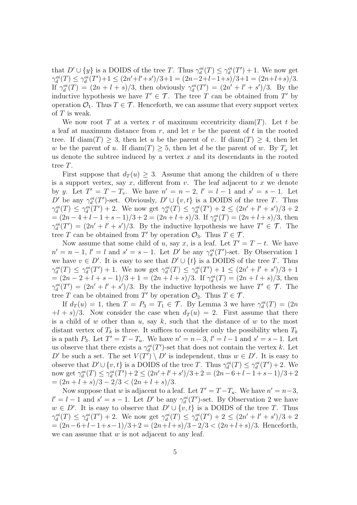that  $D' \cup \{y\}$  is a DOIDS of the tree T. Thus  $\gamma_d^{oi}(T) \leq \gamma_d^{oi}(T') + 1$ . We now get  $\gamma_d^{oi}(T) \leq \gamma_d^{oi}(T') + 1 \leq (2n' + l' + s')/3 + 1 = (2n - 2 + l - 1 + s)/3 + 1 = (2n + l + s)/3.$ If  $\gamma_d^{oi}(T) = (2n + l + s)/3$ , then obviously  $\gamma_d^{oi}(T') = (2n' + l' + s')/3$ . By the inductive hypothesis we have  $T' \in \mathcal{T}$ . The tree T can be obtained from T' by operation  $\mathcal{O}_1$ . Thus  $T \in \mathcal{T}$ . Henceforth, we can assume that every support vertex of  $T$  is weak.

We now root T at a vertex r of maximum eccentricity diam(T). Let t be a leaf at maximum distance from  $r$ , and let  $v$  be the parent of  $t$  in the rooted tree. If  $\text{diam}(T) \geq 3$ , then let u be the parent of v. If  $\text{diam}(T) \geq 4$ , then let w be the parent of u. If  $\text{diam}(T) \geq 5$ , then let d be the parent of w. By  $T_x$  let us denote the subtree induced by a vertex  $x$  and its descendants in the rooted tree T.

First suppose that  $d_T(u) > 3$ . Assume that among the children of u there is a support vertex, say  $x$ , different from  $v$ . The leaf adjacent to  $x$  we denote by y. Let  $T' = T - T_v$ . We have  $n' = n - 2$ ,  $l' = l - 1$  and  $s' = s - 1$ . Let D' be any  $\gamma_d^{oi}(T')$ -set. Obviously,  $D' \cup \{v, t\}$  is a DOIDS of the tree T. Thus  $\gamma_d^{oi}(T) \leq \gamma_d^{oi}(T') + 2$ . We now get  $\gamma_d^{oi}(T) \leq \gamma_d^{oi}(T') + 2 \leq (2n' + l' + s')/3 + 2$  $=(2n-4+l-1+s-1)/3+2=(2n+l+s)/3.$  If  $\gamma_d^{oi}(T)=(2n+l+s)/3$ , then  $\gamma_d^{oi}(T') = (2n' + l' + s')/3$ . By the inductive hypothesis we have  $T' \in \mathcal{T}$ . The tree T can be obtained from T' by operation  $\mathcal{O}_3$ . Thus  $T \in \mathcal{T}$ .

Now assume that some child of u, say x, is a leaf. Let  $T' = T - t$ . We have  $n' = n - 1$ ,  $l' = l$  and  $s' = s - 1$ . Let  $D'$  be any  $\gamma_d^{oi}(T')$ -set. By Observation 1 we have  $v \in D'$ . It is easy to see that  $D' \cup \{t\}$  is a DOIDS of the tree T. Thus  $\gamma_d^{oi}(T) \leq \gamma_d^{oi}(T') + 1$ . We now get  $\gamma_d^{oi}(T) \leq \gamma_d^{oi}(T') + 1 \leq (2n' + l' + s')/3 + 1$  $=(2n-2+l+s-1)/3+1=(2n+l+s)/3$ . If  $\gamma_d^{oi}(T)=(2n+l+s)/3$ , then  $\gamma_d^{oi}(T') = (2n' + l' + s')/3$ . By the inductive hypothesis we have  $T' \in \mathcal{T}$ . The tree T can be obtained from T' by operation  $\mathcal{O}_2$ . Thus  $T \in \mathcal{T}$ .

If  $d_T(u) = 1$ , then  $T = P_3 = T_1 \in \mathcal{T}$ . By Lemma 3 we have  $\gamma_d^{oi}(T) = (2n)$  $+(l + s)/3$ . Now consider the case when  $d_T(u) = 2$ . First assume that there is a child of w other than  $u$ , say  $k$ , such that the distance of w to the most distant vertex of  $T_k$  is three. It suffices to consider only the possibility when  $T_k$ is a path  $P_3$ . Let  $T' = T - T_u$ . We have  $n' = n - 3$ ,  $l' = l - 1$  and  $s' = s - 1$ . Let us observe that there exists a  $\gamma_d^{oi}(T')$ -set that does not contain the vertex k. Let D' be such a set. The set  $V(T') \setminus D'$  is independent, thus  $w \in D'$ . It is easy to observe that  $D' \cup \{v, t\}$  is a DOIDS of the tree T. Thus  $\gamma_d^{oi}(T) \leq \gamma_d^{oi}(T') + 2$ . We now get  $\gamma_d^{oi}(T) \leq \gamma_d^{oi}(T') + 2 \leq (2n' + l' + s')/3 + 2 = (2n - 6 + l - 1 + s - 1)/3 + 2$  $=(2n+l+s)/3-2/3<(2n+l+s)/3.$ 

Now suppose that w is adjacent to a leaf. Let  $T' = T - T_u$ . We have  $n' = n - 3$ ,  $l' = l - 1$  and  $s' = s - 1$ . Let D' be any  $\gamma_d^{oi}(T')$ -set. By Observation 2 we have  $w \in D'$ . It is easy to observe that  $D' \cup \{v, t\}$  is a DOIDS of the tree T. Thus  $\gamma_d^{oi}(T) \leq \gamma_d^{oi}(T') + 2$ . We now get  $\gamma_d^{oi}(T) \leq \gamma_d^{oi}(T') + 2 \leq (2n' + l' + s')/3 + 2$  $=(2n-6+l-1+s-1)/3+2=(2n+l+s)/3-2/3<(2n+l+s)/3$ . Henceforth, we can assume that  $w$  is not adjacent to any leaf.